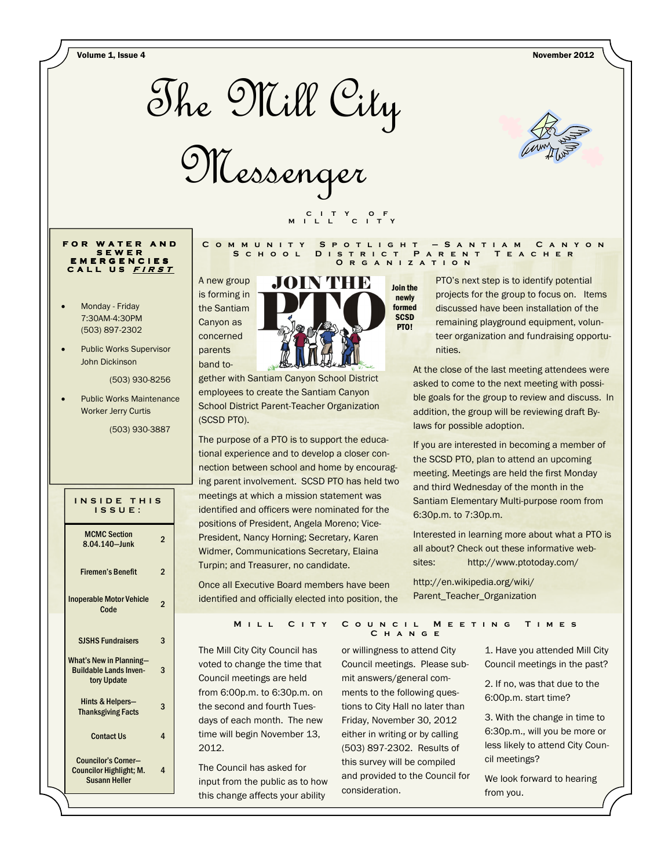Volume 1, Issue 4 November 2012



Messenger



### **F O R W A T E R A N D S E W E R E M E R G E N C I E S C A L L U S <sup>F</sup> <sup>I</sup> <sup>R</sup> <sup>S</sup> <sup>T</sup>**

- Monday Friday 7:30AM-4:30PM (503) 897-2302
- Public Works Supervisor John Dickinson

(503) 930-8256

Public Works Maintenance Worker Jerry Curtis

(503) 930-3887

| INSIDE THIS<br>ISSUE:                                                                |                |  |
|--------------------------------------------------------------------------------------|----------------|--|
| <b>MCMC Section</b><br>8.04.140-lunk                                                 | 2              |  |
| <b>Firemen's Benefit</b>                                                             | $\overline{2}$ |  |
| <b>Inoperable Motor Vehicle</b><br>Code                                              | 2              |  |
| <b>SJSHS Fundraisers</b>                                                             | 3              |  |
| <b>What's New in Planning-</b><br><b>Buildable Lands Inven-</b><br>tory Update       | 3              |  |
| Hints & Helpers-<br><b>Thanksgiving Facts</b>                                        | 3              |  |
| <b>Contact Us</b>                                                                    | 4              |  |
| <b>Councilor's Corner-</b><br><b>Councilor Highlight; M.</b><br><b>Susann Heller</b> | 4              |  |



 **C I T Y O F M I L L C I T Y** 

gether with Santiam Canyon School District employees to create the Santiam Canyon School District Parent-Teacher Organization (SCSD PTO).

The purpose of a PTO is to support the educational experience and to develop a closer connection between school and home by encouraging parent involvement. SCSD PTO has held two meetings at which a mission statement was identified and officers were nominated for the positions of President, Angela Moreno; Vice-President, Nancy Horning; Secretary, Karen Widmer, Communications Secretary, Elaina Turpin; and Treasurer, no candidate.

Once all Executive Board members have been identified and officially elected into position, the

PTO's next step is to identify potential projects for the group to focus on. Items discussed have been installation of the remaining playground equipment, volunteer organization and fundraising opportunities.

At the close of the last meeting attendees were asked to come to the next meeting with possible goals for the group to review and discuss. In addition, the group will be reviewing draft Bylaws for possible adoption.

If you are interested in becoming a member of the SCSD PTO, plan to attend an upcoming meeting. Meetings are held the first Monday and third Wednesday of the month in the Santiam Elementary Multi-purpose room from 6:30p.m. to 7:30p.m.

Interested in learning more about what a PTO is all about? Check out these informative websites: http://www.ptotoday.com/

http://en.wikipedia.org/wiki/ Parent\_Teacher\_Organization

#### **MILL CITY COUNCIL MEETING TIMES C h a n g e**

The Mill City City Council has voted to change the time that Council meetings are held from 6:00p.m. to 6:30p.m. on the second and fourth Tuesdays of each month. The new time will begin November 13, 2012.

The Council has asked for input from the public as to how this change affects your ability

or willingness to attend City Council meetings. Please submit answers/general comments to the following questions to City Hall no later than Friday, November 30, 2012 either in writing or by calling (503) 897-2302. Results of this survey will be compiled and provided to the Council for consideration.

1. Have you attended Mill City Council meetings in the past?

2. If no, was that due to the 6:00p.m. start time?

3. With the change in time to 6:30p.m., will you be more or less likely to attend City Council meetings?

We look forward to hearing from you.

#### **C o m m u n i t y S p o t l i g h t — S a n t i a m C a n y o n S c h o o l D i s t r i c t P a r e n t T e a c h e r O r g a n i z a t i o n**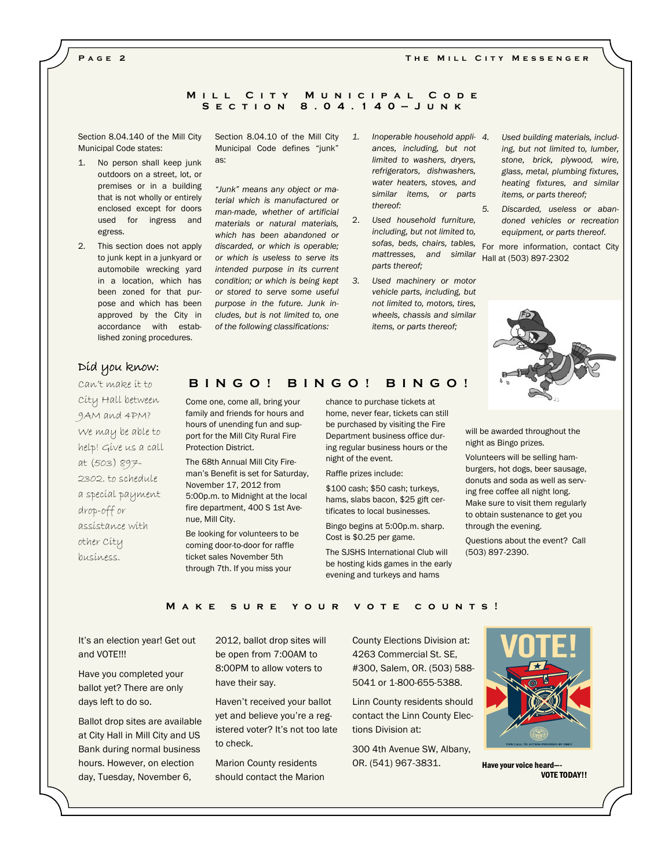#### THE MILL CITY MESSENGER

#### **P a g e 2**

### **MILL CITY MUNICIPAL CODE S e c t i o n 8 . 0 4 . 1 4 0 — J u n k**

Section 8.04.140 of the Mill City Municipal Code states:

- 1. No person shall keep junk outdoors on a street, lot, or premises or in a building that is not wholly or entirely enclosed except for doors used for ingress and egress.
- 2. This section does not apply to junk kept in a junkyard or automobile wrecking yard in a location, which has been zoned for that purpose and which has been approved by the City in accordance with established zoning procedures.

Section 8.04.10 of the Mill City Municipal Code defines "junk" as:

"Junk" means any object or material which is manufactured or man-made, whether of artificial materials or natural materials, which has been abandoned or discarded, or which is operable; or which is useless to serve its intended purpose in its current condition; or which is being kept or stored to serve some useful purpose in the future. Junk includes, but is not limited to, one of the following classifications:

- 1. Inoperable household appli- 4. ances, including, but not limited to washers, dryers, refrigerators, dishwashers, water heaters, stoves, and similar items, or parts thereof:
- 2. Used household furniture, including, but not limited to, sofas, beds, chairs, tables, mattresses, and similar parts thereof;
- 3. Used machinery or motor vehicle parts, including, but not limited to, motors, tires, wheels, chassis and similar items, or parts thereof;
- Used building materials, including, but not limited to, lumber, stone, brick, plywood, wire, glass, metal, plumbing fixtures, heating fixtures, and similar items, or parts thereof;
- 5. Discarded, useless or abandoned vehicles or recreation equipment, or parts thereof.

For more information, contact City Hall at (503) 897-2302



will be awarded throughout the night as Bingo prizes.

Volunteers will be selling hamburgers, hot dogs, beer sausage, donuts and soda as well as serving free coffee all night long. Make sure to visit them regularly to obtain sustenance to get you through the evening.

Questions about the event? Call (503) 897-2390.

# Díd you know:

Can't make it to City Hall between 9AM and 4PM? We may be able to help! Give us a call at (503) 897- 2302. to schedule a special payment drop-off or assistance with other City business.

### **B I N G O ! B I N G O ! B I N G O !**

Come one, come all, bring your family and friends for hours and hours of unending fun and support for the Mill City Rural Fire Protection District.

The 68th Annual Mill City Fireman's Benefit is set for Saturday, November 17, 2012 from 5:00p.m. to Midnight at the local fire department, 400 S 1st Avenue, Mill City.

Be looking for volunteers to be coming door-to-door for raffle ticket sales November 5th through 7th. If you miss your

chance to purchase tickets at home, never fear, tickets can still be purchased by visiting the Fire Department business office during regular business hours or the night of the event.

Raffle prizes include:

\$100 cash; \$50 cash; turkeys, hams, slabs bacon, \$25 gift certificates to local businesses.

Bingo begins at 5:00p.m. sharp. Cost is \$0.25 per game.

The SJSHS International Club will be hosting kids games in the early evening and turkeys and hams

### **MAKE SURE YOUR VOTE COUNTS!**

It's an election year! Get out and VOTE!!!

Have you completed your ballot yet? There are only days left to do so.

Ballot drop sites are available at City Hall in Mill City and US Bank during normal business hours. However, on election day, Tuesday, November 6,

2012, ballot drop sites will be open from 7:00AM to 8:00PM to allow voters to have their say.

Haven't received your ballot yet and believe you're a registered voter? It's not too late to check.

Marion County residents should contact the Marion County Elections Division at: 4263 Commercial St. SE, #300, Salem, OR. (503) 588- 5041 or 1-800-655-5388.

Linn County residents should contact the Linn County Elections Division at:

300 4th Avenue SW, Albany, OR. (541) 967-3831.



Have your voice heard—- VOTE TODAY!!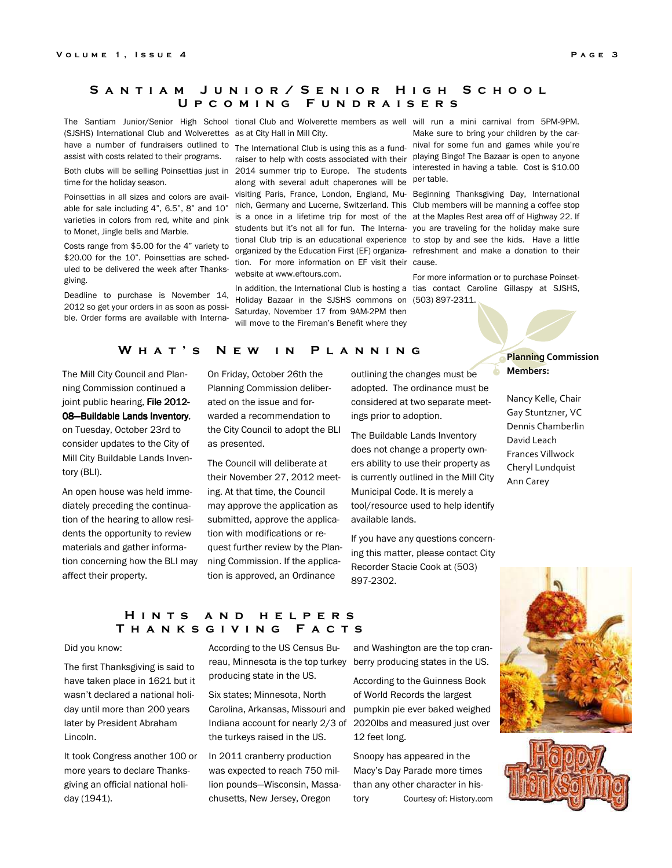# **S a n t i a m J u n i o r / S e n i o r H i g h S c h o o l U p c o m i n g F u n d r a i s e r s**

(SJSHS) International Club and Wolverettes as at City Hall in Mill City. have a number of fundraisers outlined to assist with costs related to their programs.

time for the holiday season.

Poinsettias in all sizes and colors are availvarieties in colors from red, white and pink to Monet, Jingle bells and Marble.

Costs range from \$5.00 for the 4" variety to \$20.00 for the 10". Poinsettias are scheduled to be delivered the week after Thanksgiving.

Deadline to purchase is November 14, 2012 so get your orders in as soon as possible. Order forms are available with Interna-

The Santiam Junior/Senior High School tional Club and Wolverette members as well will run a mini carnival from 5PM-9PM.

The International Club is using this as a fundraiser to help with costs associated with their playing Bingo! The Bazaar is open to anyone Both clubs will be selling Poinsettias just in 2014 summer trip to Europe. The students along with several adult chaperones will be visiting Paris, France, London, England, Mu-Beginning Thanksgiving Day, International able for sale including 4", 6.5", 8" and 10" nich, Germany and Lucerne, Switzerland. This Club members will be manning a coffee stop is a once in a lifetime trip for most of the students but it's not all for fun. The International Club trip is an educational experience to stop by and see the kids. Have a little organized by the Education First (EF) organiza-refreshment and make a donation to their tion. For more information on EF visit their cause. website at www.eftours.com.

> In addition, the International Club is hosting a tias contact Caroline Gillaspy at SJSHS, Holiday Bazaar in the SJSHS commons on (503) 897-2311. Saturday, November 17 from 9AM-2PM then will move to the Fireman's Benefit where they

Make sure to bring your children by the carnival for some fun and games while you're interested in having a table. Cost is \$10.00 per table.

at the Maples Rest area off of Highway 22. If you are traveling for the holiday make sure

For more information or to purchase Poinset-

### W H A T ' S N E W I N P L A N N I N G

The Mill City Council and Planning Commission continued a joint public hearing, File 2012-

# 08-Buildable Lands Inventory, on Tuesday, October 23rd to consider updates to the City of

Mill City Buildable Lands Inventory (BLI).

An open house was held immediately preceding the continuation of the hearing to allow residents the opportunity to review materials and gather information concerning how the BLI may affect their property.

On Friday, October 26th the Planning Commission deliberated on the issue and forwarded a recommendation to the City Council to adopt the BLI as presented.

The Council will deliberate at their November 27, 2012 meeting. At that time, the Council may approve the application as submitted, approve the application with modifications or request further review by the Planning Commission. If the application is approved, an Ordinance

outlining the changes must be adopted. The ordinance must be considered at two separate meetings prior to adoption.

The Buildable Lands Inventory does not change a property owners ability to use their property as is currently outlined in the Mill City Municipal Code. It is merely a tool/resource used to help identify available lands.

If you have any questions concerning this matter, please contact City Recorder Stacie Cook at (503) 897-2302.

Planning Commission Members:

Nancy Kelle, Chair Gay Stuntzner, VC Dennis Chamberlin David Leach Frances Villwock Cheryl Lundquist Ann Carey

# **H i n t s a n d h e l p e r s T h a n k s g i v i n g F a c t s**

#### Did you know:

The first Thanksgiving is said to have taken place in 1621 but it wasn't declared a national holiday until more than 200 years later by President Abraham Lincoln.

It took Congress another 100 or more years to declare Thanksgiving an official national holiday (1941).

According to the US Census Buproducing state in the US.

Six states; Minnesota, North the turkeys raised in the US.

In 2011 cranberry production was expected to reach 750 million pounds—Wisconsin, Massachusetts, New Jersey, Oregon

reau, Minnesota is the top turkey berry producing states in the US. and Washington are the top cran-

Carolina, Arkansas, Missouri and pumpkin pie ever baked weighed Indiana account for nearly 2/3 of 2020lbs and measured just over According to the Guinness Book of World Records the largest 12 feet long.

> Snoopy has appeared in the Macy's Day Parade more times than any other character in history Courtesy of: History.com